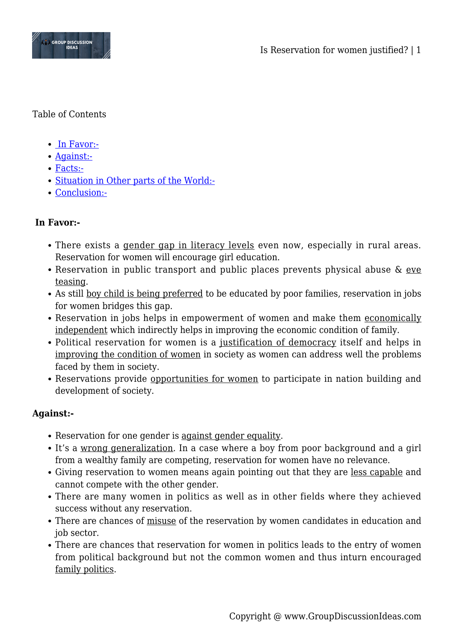

### Table of Contents

- • [In Favor:-](#page--1-0)
- [Against:-](#page--1-0)
- [Facts:-](#page--1-0)
- [Situation in Other parts of the World:-](#page--1-0)
- [Conclusion:-](#page--1-0)

# **In Favor:-**

- There exists a gender gap in literacy levels even now, especially in rural areas. Reservation for women will encourage girl education.
- Reservation in public transport and public places prevents physical abuse & eve teasing.
- As still boy child is being preferred to be educated by poor families, reservation in jobs for women bridges this gap.
- Reservation in jobs helps in empowerment of women and make them economically independent which indirectly helps in improving the economic condition of family.
- Political reservation for women is a justification of democracy itself and helps in improving the condition of women in society as women can address well the problems faced by them in society.
- Reservations provide opportunities for women to participate in nation building and development of society.

# **Against:-**

- Reservation for one gender is against gender equality.
- It's a wrong generalization. In a case where a boy from poor background and a girl from a wealthy family are competing, reservation for women have no relevance.
- Giving reservation to women means again pointing out that they are less capable and cannot compete with the other gender.
- There are many women in politics as well as in other fields where they achieved success without any reservation.
- There are chances of misuse of the reservation by women candidates in education and job sector.
- There are chances that reservation for women in politics leads to the entry of women from political background but not the common women and thus inturn encouraged family politics.